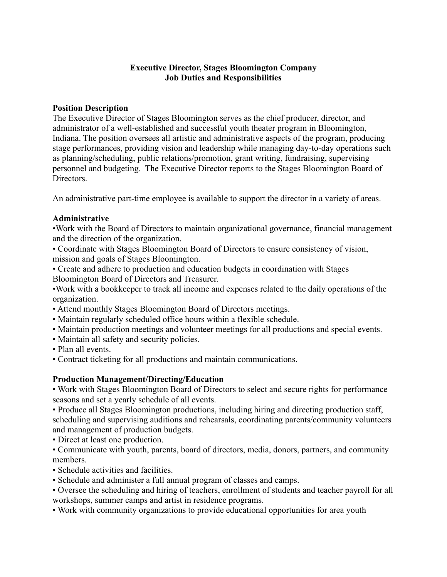# **Executive Director, Stages Bloomington Company Job Duties and Responsibilities**

## **Position Description**

The Executive Director of Stages Bloomington serves as the chief producer, director, and administrator of a well-established and successful youth theater program in Bloomington, Indiana. The position oversees all artistic and administrative aspects of the program, producing stage performances, providing vision and leadership while managing day-to-day operations such as planning/scheduling, public relations/promotion, grant writing, fundraising, supervising personnel and budgeting. The Executive Director reports to the Stages Bloomington Board of Directors.

An administrative part-time employee is available to support the director in a variety of areas.

## **Administrative**

•Work with the Board of Directors to maintain organizational governance, financial management and the direction of the organization.

• Coordinate with Stages Bloomington Board of Directors to ensure consistency of vision, mission and goals of Stages Bloomington.

• Create and adhere to production and education budgets in coordination with Stages Bloomington Board of Directors and Treasurer.

•Work with a bookkeeper to track all income and expenses related to the daily operations of the organization.

- Attend monthly Stages Bloomington Board of Directors meetings.
- Maintain regularly scheduled office hours within a flexible schedule.
- Maintain production meetings and volunteer meetings for all productions and special events.
- Maintain all safety and security policies.
- Plan all events.
- Contract ticketing for all productions and maintain communications.

# **Production Management/Directing/Education**

• Work with Stages Bloomington Board of Directors to select and secure rights for performance seasons and set a yearly schedule of all events.

• Produce all Stages Bloomington productions, including hiring and directing production staff, scheduling and supervising auditions and rehearsals, coordinating parents/community volunteers and management of production budgets.

• Direct at least one production.

• Communicate with youth, parents, board of directors, media, donors, partners, and community members.

- Schedule activities and facilities.
- Schedule and administer a full annual program of classes and camps.

• Oversee the scheduling and hiring of teachers, enrollment of students and teacher payroll for all workshops, summer camps and artist in residence programs.

• Work with community organizations to provide educational opportunities for area youth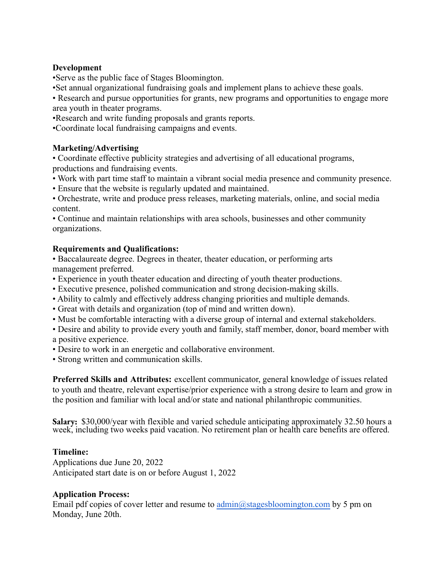## **Development**

•Serve as the public face of Stages Bloomington.

•Set annual organizational fundraising goals and implement plans to achieve these goals.

• Research and pursue opportunities for grants, new programs and opportunities to engage more area youth in theater programs.

•Research and write funding proposals and grants reports.

•Coordinate local fundraising campaigns and events.

## **Marketing/Advertising**

• Coordinate effective publicity strategies and advertising of all educational programs, productions and fundraising events.

• Work with part time staff to maintain a vibrant social media presence and community presence.

• Ensure that the website is regularly updated and maintained.

• Orchestrate, write and produce press releases, marketing materials, online, and social media content.

• Continue and maintain relationships with area schools, businesses and other community organizations.

## **Requirements and Qualifications:**

• Baccalaureate degree. Degrees in theater, theater education, or performing arts management preferred.

- Experience in youth theater education and directing of youth theater productions.
- Executive presence, polished communication and strong decision-making skills.
- Ability to calmly and effectively address changing priorities and multiple demands.
- Great with details and organization (top of mind and written down).
- Must be comfortable interacting with a diverse group of internal and external stakeholders.
- Desire and ability to provide every youth and family, staff member, donor, board member with a positive experience.
- Desire to work in an energetic and collaborative environment.
- Strong written and communication skills.

**Preferred Skills and Attributes:** excellent communicator, general knowledge of issues related to youth and theatre, relevant expertise/prior experience with a strong desire to learn and grow in the position and familiar with local and/or state and national philanthropic communities.

**Salary:** \$30,000/year with flexible and varied schedule anticipating approximately 32.50 hours a week, including two weeks paid vacation. No retirement plan or health care benefits are offered.

#### **Timeline:**

Applications due June 20, 2022 Anticipated start date is on or before August 1, 2022

#### **Application Process:**

Email pdf copies of cover letter and resume to  $\frac{\text{admin}(a)\text{stagesbloomington.com}}{a\text{tagger}}$  by 5 pm on Monday, June 20th.